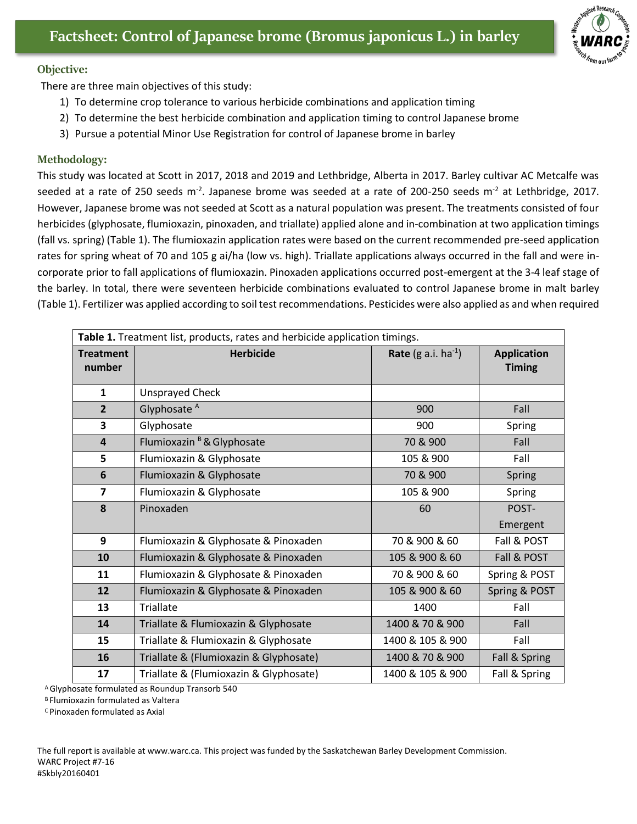

## **Objective:**

There are three main objectives of this study:

- 1) To determine crop tolerance to various herbicide combinations and application timing
- 2) To determine the best herbicide combination and application timing to control Japanese brome
- 3) Pursue a potential Minor Use Registration for control of Japanese brome in barley

## **Methodology:**

This study was located at Scott in 2017, 2018 and 2019 and Lethbridge, Alberta in 2017. Barley cultivar AC Metcalfe was seeded at a rate of 250 seeds m<sup>-2</sup>. Japanese brome was seeded at a rate of 200-250 seeds m<sup>-2</sup> at Lethbridge, 2017. However, Japanese brome was not seeded at Scott as a natural population was present. The treatments consisted of four herbicides (glyphosate, flumioxazin, pinoxaden, and triallate) applied alone and in-combination at two application timings (fall vs. spring) (Table 1). The flumioxazin application rates were based on the current recommended pre-seed application rates for spring wheat of 70 and 105 g ai/ha (low vs. high). Triallate applications always occurred in the fall and were incorporate prior to fall applications of flumioxazin. Pinoxaden applications occurred post-emergent at the 3-4 leaf stage of the barley. In total, there were seventeen herbicide combinations evaluated to control Japanese brome in malt barley (Table 1). Fertilizer was applied according to soil test recommendations. Pesticides were also applied as and when required

| Table 1. Treatment list, products, rates and herbicide application timings. |                                        |                                 |                    |
|-----------------------------------------------------------------------------|----------------------------------------|---------------------------------|--------------------|
| <b>Treatment</b>                                                            | <b>Herbicide</b>                       | <b>Rate</b> (g a.i. $ha^{-1}$ ) | <b>Application</b> |
| number                                                                      |                                        |                                 | <b>Timing</b>      |
| $\mathbf{1}$                                                                | <b>Unsprayed Check</b>                 |                                 |                    |
| $\overline{2}$                                                              | Glyphosate <sup>A</sup>                | 900                             | Fall               |
| 3                                                                           | Glyphosate                             | 900                             | Spring             |
| $\overline{\mathbf{4}}$                                                     | Flumioxazin <sup>B</sup> & Glyphosate  | 70 & 900                        | Fall               |
| 5                                                                           | Flumioxazin & Glyphosate               | 105 & 900                       | Fall               |
| 6                                                                           | Flumioxazin & Glyphosate               | 70 & 900                        | Spring             |
| $\overline{7}$                                                              | Flumioxazin & Glyphosate               | 105 & 900                       | Spring             |
| 8                                                                           | Pinoxaden                              | 60                              | POST-              |
|                                                                             |                                        |                                 | Emergent           |
| 9                                                                           | Flumioxazin & Glyphosate & Pinoxaden   | 70 & 900 & 60                   | Fall & POST        |
| 10                                                                          | Flumioxazin & Glyphosate & Pinoxaden   | 105 & 900 & 60                  | Fall & POST        |
| 11                                                                          | Flumioxazin & Glyphosate & Pinoxaden   | 70 & 900 & 60                   | Spring & POST      |
| 12                                                                          | Flumioxazin & Glyphosate & Pinoxaden   | 105 & 900 & 60                  | Spring & POST      |
| 13                                                                          | <b>Triallate</b>                       | 1400                            | Fall               |
| 14                                                                          | Triallate & Flumioxazin & Glyphosate   | 1400 & 70 & 900                 | Fall               |
| 15                                                                          | Triallate & Flumioxazin & Glyphosate   | 1400 & 105 & 900                | Fall               |
| 16                                                                          | Triallate & (Flumioxazin & Glyphosate) | 1400 & 70 & 900                 | Fall & Spring      |
| 17                                                                          | Triallate & (Flumioxazin & Glyphosate) | 1400 & 105 & 900                | Fall & Spring      |

<sup>A</sup>Glyphosate formulated as Roundup Transorb 540

**B Flumioxazin formulated as Valtera** 

<sup>C</sup>Pinoxaden formulated as Axial

The full report is available at [www.warc.ca.](http://www.warc.ca/) This project was funded by the Saskatchewan Barley Development Commission. WARC Project #7-16 #Skbly20160401